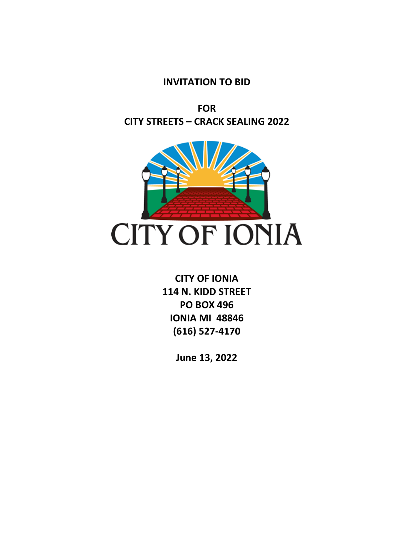**INVITATION TO BID**

**FOR CITY STREETS – CRACK SEALING 2022**



**CITY OF IONIA 114 N. KIDD STREET PO BOX 496 IONIA MI 48846 (616) 527-4170**

**June 13, 2022**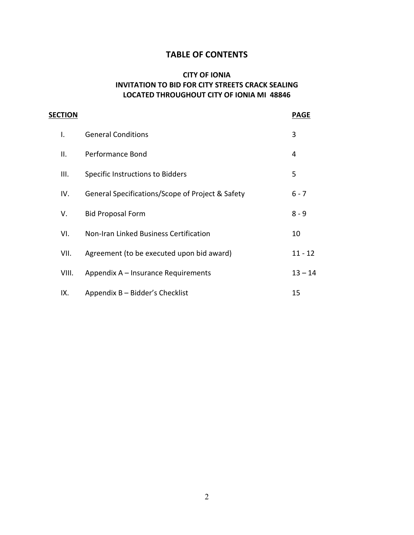# **TABLE OF CONTENTS**

# **CITY OF IONIA INVITATION TO BID FOR CITY STREETS CRACK SEALING LOCATED THROUGHOUT CITY OF IONIA MI 48846**

| <b>SECTION</b> |       |                                                  | <b>PAGE</b> |
|----------------|-------|--------------------------------------------------|-------------|
|                | L.    | <b>General Conditions</b>                        | 3           |
|                | Ш.    | Performance Bond                                 | 4           |
|                | III.  | Specific Instructions to Bidders                 | 5           |
|                | IV.   | General Specifications/Scope of Project & Safety | $6 - 7$     |
|                | V.    | <b>Bid Proposal Form</b>                         | $8 - 9$     |
|                | VI.   | Non-Iran Linked Business Certification           | 10          |
|                | VII.  | Agreement (to be executed upon bid award)        | $11 - 12$   |
|                | VIII. | Appendix A – Insurance Requirements              | $13 - 14$   |
|                | IX.   | Appendix B - Bidder's Checklist                  | 15          |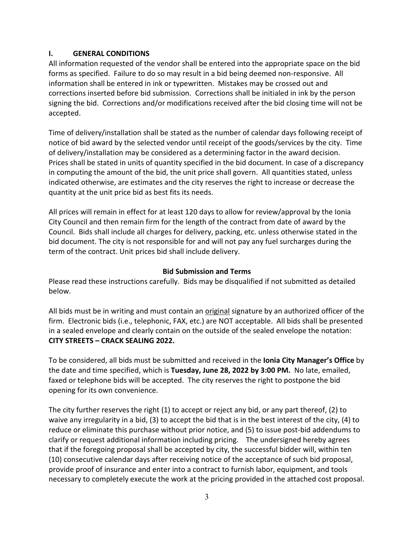## **I. GENERAL CONDITIONS**

All information requested of the vendor shall be entered into the appropriate space on the bid forms as specified. Failure to do so may result in a bid being deemed non-responsive. All information shall be entered in ink or typewritten. Mistakes may be crossed out and corrections inserted before bid submission. Corrections shall be initialed in ink by the person signing the bid. Corrections and/or modifications received after the bid closing time will not be accepted.

Time of delivery/installation shall be stated as the number of calendar days following receipt of notice of bid award by the selected vendor until receipt of the goods/services by the city. Time of delivery/installation may be considered as a determining factor in the award decision. Prices shall be stated in units of quantity specified in the bid document. In case of a discrepancy in computing the amount of the bid, the unit price shall govern. All quantities stated, unless indicated otherwise, are estimates and the city reserves the right to increase or decrease the quantity at the unit price bid as best fits its needs.

All prices will remain in effect for at least 120 days to allow for review/approval by the Ionia City Council and then remain firm for the length of the contract from date of award by the Council. Bids shall include all charges for delivery, packing, etc. unless otherwise stated in the bid document. The city is not responsible for and will not pay any fuel surcharges during the term of the contract. Unit prices bid shall include delivery.

## **Bid Submission and Terms**

Please read these instructions carefully. Bids may be disqualified if not submitted as detailed below.

All bids must be in writing and must contain an *original* signature by an authorized officer of the firm. Electronic bids (i.e., telephonic, FAX, etc.) are NOT acceptable. All bids shall be presented in a sealed envelope and clearly contain on the outside of the sealed envelope the notation: **CITY STREETS – CRACK SEALING 2022.** 

To be considered, all bids must be submitted and received in the **Ionia City Manager's Office** by the date and time specified, which is **Tuesday, June 28, 2022 by 3:00 PM.** No late, emailed, faxed or telephone bids will be accepted. The city reserves the right to postpone the bid opening for its own convenience.

The city further reserves the right (1) to accept or reject any bid, or any part thereof, (2) to waive any irregularity in a bid, (3) to accept the bid that is in the best interest of the city, (4) to reduce or eliminate this purchase without prior notice, and (5) to issue post-bid addendums to clarify or request additional information including pricing. The undersigned hereby agrees that if the foregoing proposal shall be accepted by city, the successful bidder will, within ten (10) consecutive calendar days after receiving notice of the acceptance of such bid proposal, provide proof of insurance and enter into a contract to furnish labor, equipment, and tools necessary to completely execute the work at the pricing provided in the attached cost proposal.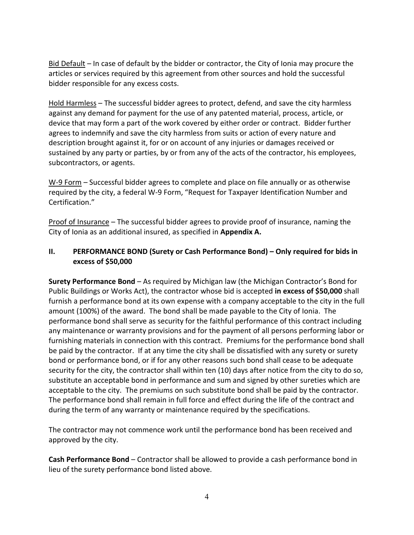Bid Default – In case of default by the bidder or contractor, the City of Ionia may procure the articles or services required by this agreement from other sources and hold the successful bidder responsible for any excess costs.

Hold Harmless – The successful bidder agrees to protect, defend, and save the city harmless against any demand for payment for the use of any patented material, process, article, or device that may form a part of the work covered by either order or contract. Bidder further agrees to indemnify and save the city harmless from suits or action of every nature and description brought against it, for or on account of any injuries or damages received or sustained by any party or parties, by or from any of the acts of the contractor, his employees, subcontractors, or agents.

W-9 Form - Successful bidder agrees to complete and place on file annually or as otherwise required by the city, a federal W-9 Form, "Request for Taxpayer Identification Number and Certification."

Proof of Insurance – The successful bidder agrees to provide proof of insurance, naming the City of Ionia as an additional insured, as specified in **Appendix A.** 

#### **II. PERFORMANCE BOND (Surety or Cash Performance Bond) – Only required for bids in excess of \$50,000**

**Surety Performance Bond** – As required by Michigan law (the Michigan Contractor's Bond for Public Buildings or Works Act), the contractor whose bid is accepted **in excess of \$50,000** shall furnish a performance bond at its own expense with a company acceptable to the city in the full amount (100%) of the award. The bond shall be made payable to the City of Ionia. The performance bond shall serve as security for the faithful performance of this contract including any maintenance or warranty provisions and for the payment of all persons performing labor or furnishing materials in connection with this contract. Premiums for the performance bond shall be paid by the contractor. If at any time the city shall be dissatisfied with any surety or surety bond or performance bond, or if for any other reasons such bond shall cease to be adequate security for the city, the contractor shall within ten (10) days after notice from the city to do so, substitute an acceptable bond in performance and sum and signed by other sureties which are acceptable to the city. The premiums on such substitute bond shall be paid by the contractor. The performance bond shall remain in full force and effect during the life of the contract and during the term of any warranty or maintenance required by the specifications.

The contractor may not commence work until the performance bond has been received and approved by the city.

**Cash Performance Bond** – Contractor shall be allowed to provide a cash performance bond in lieu of the surety performance bond listed above.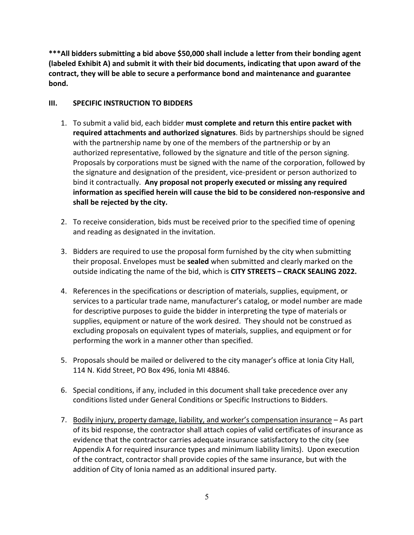**\*\*\*All bidders submitting a bid above \$50,000 shall include a letter from their bonding agent (labeled Exhibit A) and submit it with their bid documents, indicating that upon award of the contract, they will be able to secure a performance bond and maintenance and guarantee bond.**

#### **III. SPECIFIC INSTRUCTION TO BIDDERS**

- 1. To submit a valid bid, each bidder **must complete and return this entire packet with required attachments and authorized signatures**. Bids by partnerships should be signed with the partnership name by one of the members of the partnership or by an authorized representative, followed by the signature and title of the person signing. Proposals by corporations must be signed with the name of the corporation, followed by the signature and designation of the president, vice-president or person authorized to bind it contractually. **Any proposal not properly executed or missing any required information as specified herein will cause the bid to be considered non-responsive and shall be rejected by the city.**
- 2. To receive consideration, bids must be received prior to the specified time of opening and reading as designated in the invitation.
- 3. Bidders are required to use the proposal form furnished by the city when submitting their proposal. Envelopes must be **sealed** when submitted and clearly marked on the outside indicating the name of the bid, which is **CITY STREETS – CRACK SEALING 2022.**
- 4. References in the specifications or description of materials, supplies, equipment, or services to a particular trade name, manufacturer's catalog, or model number are made for descriptive purposes to guide the bidder in interpreting the type of materials or supplies, equipment or nature of the work desired. They should not be construed as excluding proposals on equivalent types of materials, supplies, and equipment or for performing the work in a manner other than specified.
- 5. Proposals should be mailed or delivered to the city manager's office at Ionia City Hall, 114 N. Kidd Street, PO Box 496, Ionia MI 48846.
- 6. Special conditions, if any, included in this document shall take precedence over any conditions listed under General Conditions or Specific Instructions to Bidders.
- 7. Bodily injury, property damage, liability, and worker's compensation insurance As part of its bid response, the contractor shall attach copies of valid certificates of insurance as evidence that the contractor carries adequate insurance satisfactory to the city (see Appendix A for required insurance types and minimum liability limits). Upon execution of the contract, contractor shall provide copies of the same insurance, but with the addition of City of Ionia named as an additional insured party.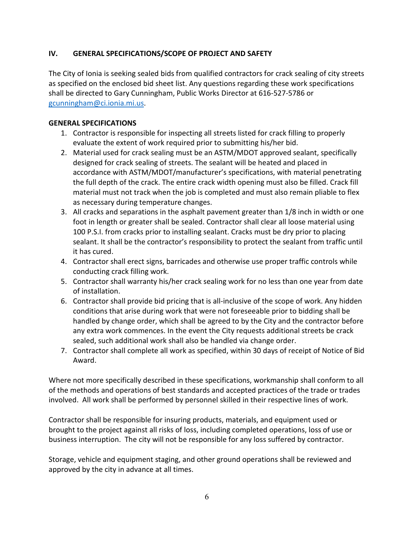# **IV. GENERAL SPECIFICATIONS/SCOPE OF PROJECT AND SAFETY**

The City of Ionia is seeking sealed bids from qualified contractors for crack sealing of city streets as specified on the enclosed bid sheet list. Any questions regarding these work specifications shall be directed to Gary Cunningham, Public Works Director at 616-527-5786 or [gcunningham@ci.ionia.mi.us.](mailto:gcunningham@ci.ionia.mi.us)

# **GENERAL SPECIFICATIONS**

- 1. Contractor is responsible for inspecting all streets listed for crack filling to properly evaluate the extent of work required prior to submitting his/her bid.
- 2. Material used for crack sealing must be an ASTM/MDOT approved sealant, specifically designed for crack sealing of streets. The sealant will be heated and placed in accordance with ASTM/MDOT/manufacturer's specifications, with material penetrating the full depth of the crack. The entire crack width opening must also be filled. Crack fill material must not track when the job is completed and must also remain pliable to flex as necessary during temperature changes.
- 3. All cracks and separations in the asphalt pavement greater than 1/8 inch in width or one foot in length or greater shall be sealed. Contractor shall clear all loose material using 100 P.S.I. from cracks prior to installing sealant. Cracks must be dry prior to placing sealant. It shall be the contractor's responsibility to protect the sealant from traffic until it has cured.
- 4. Contractor shall erect signs, barricades and otherwise use proper traffic controls while conducting crack filling work.
- 5. Contractor shall warranty his/her crack sealing work for no less than one year from date of installation.
- 6. Contractor shall provide bid pricing that is all-inclusive of the scope of work. Any hidden conditions that arise during work that were not foreseeable prior to bidding shall be handled by change order, which shall be agreed to by the City and the contractor before any extra work commences. In the event the City requests additional streets be crack sealed, such additional work shall also be handled via change order.
- 7. Contractor shall complete all work as specified, within 30 days of receipt of Notice of Bid Award.

Where not more specifically described in these specifications, workmanship shall conform to all of the methods and operations of best standards and accepted practices of the trade or trades involved. All work shall be performed by personnel skilled in their respective lines of work.

Contractor shall be responsible for insuring products, materials, and equipment used or brought to the project against all risks of loss, including completed operations, loss of use or business interruption. The city will not be responsible for any loss suffered by contractor.

Storage, vehicle and equipment staging, and other ground operations shall be reviewed and approved by the city in advance at all times.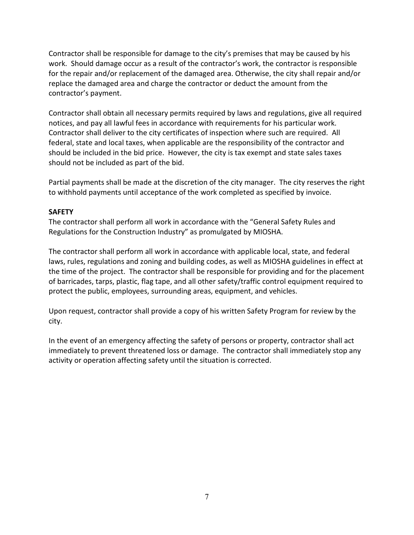Contractor shall be responsible for damage to the city's premises that may be caused by his work. Should damage occur as a result of the contractor's work, the contractor is responsible for the repair and/or replacement of the damaged area. Otherwise, the city shall repair and/or replace the damaged area and charge the contractor or deduct the amount from the contractor's payment.

Contractor shall obtain all necessary permits required by laws and regulations, give all required notices, and pay all lawful fees in accordance with requirements for his particular work. Contractor shall deliver to the city certificates of inspection where such are required. All federal, state and local taxes, when applicable are the responsibility of the contractor and should be included in the bid price. However, the city is tax exempt and state sales taxes should not be included as part of the bid.

Partial payments shall be made at the discretion of the city manager. The city reserves the right to withhold payments until acceptance of the work completed as specified by invoice.

#### **SAFETY**

The contractor shall perform all work in accordance with the "General Safety Rules and Regulations for the Construction Industry" as promulgated by MIOSHA.

The contractor shall perform all work in accordance with applicable local, state, and federal laws, rules, regulations and zoning and building codes, as well as MIOSHA guidelines in effect at the time of the project. The contractor shall be responsible for providing and for the placement of barricades, tarps, plastic, flag tape, and all other safety/traffic control equipment required to protect the public, employees, surrounding areas, equipment, and vehicles.

Upon request, contractor shall provide a copy of his written Safety Program for review by the city.

In the event of an emergency affecting the safety of persons or property, contractor shall act immediately to prevent threatened loss or damage. The contractor shall immediately stop any activity or operation affecting safety until the situation is corrected.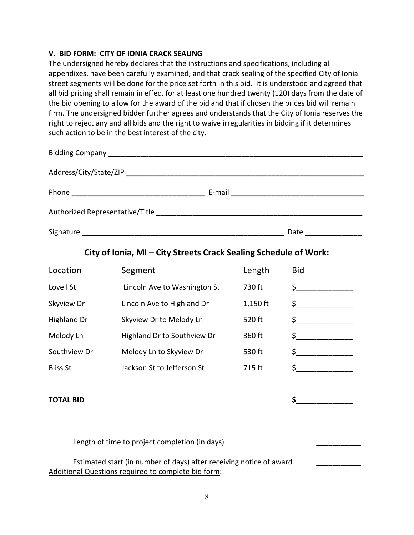#### **V. BID FORM: CITY OF IONIA CRACK SEALING**

The undersigned hereby declares that the instructions and specifications, including all appendixes, have been carefully examined, and that crack sealing of the specified City of Ionia street segments will be done for the price set forth in this bid. It is understood and agreed that all bid pricing shall remain in effect for at least one hundred twenty (120) days from the date of the bid opening to allow for the award of the bid and that if chosen the prices bid will remain firm. The undersigned bidder further agrees and understands that the City of Ionia reserves the right to reject any and all bids and the right to waive irregularities in bidding if it determines such action to be in the best interest of the city.

|  | E-mail ___________________________ |  |
|--|------------------------------------|--|
|  |                                    |  |
|  | Date                               |  |

# **City of Ionia, MI – City Streets Crack Sealing Schedule of Work:**

| Location        | Segment                      | Length     | <b>Bid</b> |
|-----------------|------------------------------|------------|------------|
| Lovell St       | Lincoln Ave to Washington St | 730 ft     | Ś.         |
| Skyview Dr      | Lincoln Ave to Highland Dr   | $1,150$ ft | Ś.         |
| Highland Dr     | Skyview Dr to Melody Ln      | 520 ft     | \$         |
| Melody Ln       | Highland Dr to Southview Dr  | 360 ft     |            |
| Southview Dr    | Melody Ln to Skyview Dr      | 530 ft     | Ś.         |
| <b>Bliss St</b> | Jackson St to Jefferson St   | 715 ft     |            |

**TOTAL BID \$\_\_\_\_\_\_\_\_\_\_\_\_\_\_**

Length of time to project completion (in days)

Estimated start (in number of days) after receiving notice of award \_\_\_\_\_\_\_\_\_\_\_ Additional Questions required to complete bid form: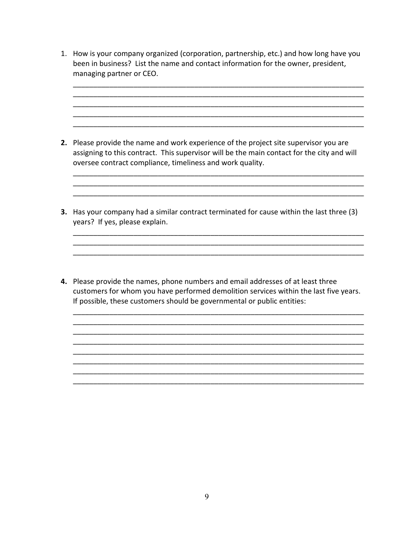1. How is your company organized (corporation, partnership, etc.) and how long have you been in business? List the name and contact information for the owner, president, managing partner or CEO.

\_\_\_\_\_\_\_\_\_\_\_\_\_\_\_\_\_\_\_\_\_\_\_\_\_\_\_\_\_\_\_\_\_\_\_\_\_\_\_\_\_\_\_\_\_\_\_\_\_\_\_\_\_\_\_\_\_\_\_\_\_\_\_\_\_\_\_\_\_\_\_\_ \_\_\_\_\_\_\_\_\_\_\_\_\_\_\_\_\_\_\_\_\_\_\_\_\_\_\_\_\_\_\_\_\_\_\_\_\_\_\_\_\_\_\_\_\_\_\_\_\_\_\_\_\_\_\_\_\_\_\_\_\_\_\_\_\_\_\_\_\_\_\_\_

\_\_\_\_\_\_\_\_\_\_\_\_\_\_\_\_\_\_\_\_\_\_\_\_\_\_\_\_\_\_\_\_\_\_\_\_\_\_\_\_\_\_\_\_\_\_\_\_\_\_\_\_\_\_\_\_\_\_\_\_\_\_\_\_\_\_\_\_\_\_\_\_ \_\_\_\_\_\_\_\_\_\_\_\_\_\_\_\_\_\_\_\_\_\_\_\_\_\_\_\_\_\_\_\_\_\_\_\_\_\_\_\_\_\_\_\_\_\_\_\_\_\_\_\_\_\_\_\_\_\_\_\_\_\_\_\_\_\_\_\_\_\_\_\_

\_\_\_\_\_\_\_\_\_\_\_\_\_\_\_\_\_\_\_\_\_\_\_\_\_\_\_\_\_\_\_\_\_\_\_\_\_\_\_\_\_\_\_\_\_\_\_\_\_\_\_\_\_\_\_\_\_\_\_\_\_\_\_\_\_\_\_\_\_\_\_\_ \_\_\_\_\_\_\_\_\_\_\_\_\_\_\_\_\_\_\_\_\_\_\_\_\_\_\_\_\_\_\_\_\_\_\_\_\_\_\_\_\_\_\_\_\_\_\_\_\_\_\_\_\_\_\_\_\_\_\_\_\_\_\_\_\_\_\_\_\_\_\_\_

- **2.** Please provide the name and work experience of the project site supervisor you are assigning to this contract. This supervisor will be the main contact for the city and will oversee contract compliance, timeliness and work quality.
- **3.** Has your company had a similar contract terminated for cause within the last three (3) years? If yes, please explain.

\_\_\_\_\_\_\_\_\_\_\_\_\_\_\_\_\_\_\_\_\_\_\_\_\_\_\_\_\_\_\_\_\_\_\_\_\_\_\_\_\_\_\_\_\_\_\_\_\_\_\_\_\_\_\_\_\_\_\_\_\_\_\_\_\_\_\_\_\_\_\_\_ \_\_\_\_\_\_\_\_\_\_\_\_\_\_\_\_\_\_\_\_\_\_\_\_\_\_\_\_\_\_\_\_\_\_\_\_\_\_\_\_\_\_\_\_\_\_\_\_\_\_\_\_\_\_\_\_\_\_\_\_\_\_\_\_\_\_\_\_\_\_\_\_ \_\_\_\_\_\_\_\_\_\_\_\_\_\_\_\_\_\_\_\_\_\_\_\_\_\_\_\_\_\_\_\_\_\_\_\_\_\_\_\_\_\_\_\_\_\_\_\_\_\_\_\_\_\_\_\_\_\_\_\_\_\_\_\_\_\_\_\_\_\_\_\_

**4.** Please provide the names, phone numbers and email addresses of at least three customers for whom you have performed demolition services within the last five years. If possible, these customers should be governmental or public entities:

\_\_\_\_\_\_\_\_\_\_\_\_\_\_\_\_\_\_\_\_\_\_\_\_\_\_\_\_\_\_\_\_\_\_\_\_\_\_\_\_\_\_\_\_\_\_\_\_\_\_\_\_\_\_\_\_\_\_\_\_\_\_\_\_\_\_\_\_\_\_\_\_ \_\_\_\_\_\_\_\_\_\_\_\_\_\_\_\_\_\_\_\_\_\_\_\_\_\_\_\_\_\_\_\_\_\_\_\_\_\_\_\_\_\_\_\_\_\_\_\_\_\_\_\_\_\_\_\_\_\_\_\_\_\_\_\_\_\_\_\_\_\_\_\_ \_\_\_\_\_\_\_\_\_\_\_\_\_\_\_\_\_\_\_\_\_\_\_\_\_\_\_\_\_\_\_\_\_\_\_\_\_\_\_\_\_\_\_\_\_\_\_\_\_\_\_\_\_\_\_\_\_\_\_\_\_\_\_\_\_\_\_\_\_\_\_\_ \_\_\_\_\_\_\_\_\_\_\_\_\_\_\_\_\_\_\_\_\_\_\_\_\_\_\_\_\_\_\_\_\_\_\_\_\_\_\_\_\_\_\_\_\_\_\_\_\_\_\_\_\_\_\_\_\_\_\_\_\_\_\_\_\_\_\_\_\_\_\_\_ \_\_\_\_\_\_\_\_\_\_\_\_\_\_\_\_\_\_\_\_\_\_\_\_\_\_\_\_\_\_\_\_\_\_\_\_\_\_\_\_\_\_\_\_\_\_\_\_\_\_\_\_\_\_\_\_\_\_\_\_\_\_\_\_\_\_\_\_\_\_\_\_ \_\_\_\_\_\_\_\_\_\_\_\_\_\_\_\_\_\_\_\_\_\_\_\_\_\_\_\_\_\_\_\_\_\_\_\_\_\_\_\_\_\_\_\_\_\_\_\_\_\_\_\_\_\_\_\_\_\_\_\_\_\_\_\_\_\_\_\_\_\_\_\_ \_\_\_\_\_\_\_\_\_\_\_\_\_\_\_\_\_\_\_\_\_\_\_\_\_\_\_\_\_\_\_\_\_\_\_\_\_\_\_\_\_\_\_\_\_\_\_\_\_\_\_\_\_\_\_\_\_\_\_\_\_\_\_\_\_\_\_\_\_\_\_\_ \_\_\_\_\_\_\_\_\_\_\_\_\_\_\_\_\_\_\_\_\_\_\_\_\_\_\_\_\_\_\_\_\_\_\_\_\_\_\_\_\_\_\_\_\_\_\_\_\_\_\_\_\_\_\_\_\_\_\_\_\_\_\_\_\_\_\_\_\_\_\_\_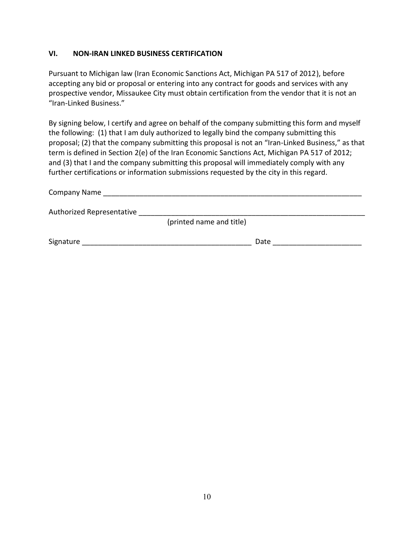#### **VI. NON-IRAN LINKED BUSINESS CERTIFICATION**

Pursuant to Michigan law (Iran Economic Sanctions Act, Michigan PA 517 of 2012), before accepting any bid or proposal or entering into any contract for goods and services with any prospective vendor, Missaukee City must obtain certification from the vendor that it is not an "Iran-Linked Business."

By signing below, I certify and agree on behalf of the company submitting this form and myself the following: (1) that I am duly authorized to legally bind the company submitting this proposal; (2) that the company submitting this proposal is not an "Iran-Linked Business," as that term is defined in Section 2(e) of the Iran Economic Sanctions Act, Michigan PA 517 of 2012; and (3) that I and the company submitting this proposal will immediately comply with any further certifications or information submissions requested by the city in this regard.

| <b>Company Name</b>       |                          |      |
|---------------------------|--------------------------|------|
| Authorized Representative |                          |      |
|                           | (printed name and title) |      |
| Signature                 |                          | Date |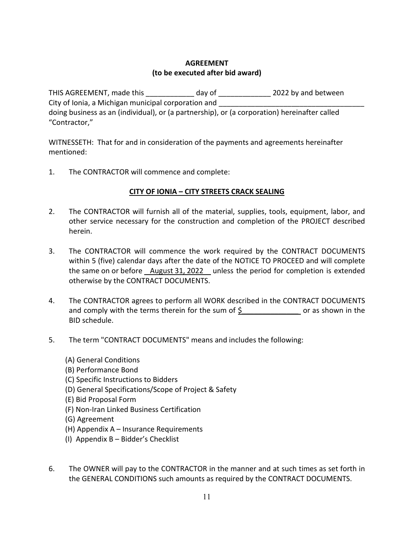# **AGREEMENT (to be executed after bid award)**

THIS AGREEMENT, made this day of and the 2022 by and between City of Ionia, a Michigan municipal corporation and doing business as an (individual), or (a partnership), or (a corporation) hereinafter called "Contractor,"

WITNESSETH: That for and in consideration of the payments and agreements hereinafter mentioned:

1. The CONTRACTOR will commence and complete:

## **CITY OF IONIA – CITY STREETS CRACK SEALING**

- 2. The CONTRACTOR will furnish all of the material, supplies, tools, equipment, labor, and other service necessary for the construction and completion of the PROJECT described herein.
- 3. The CONTRACTOR will commence the work required by the CONTRACT DOCUMENTS within 5 (five) calendar days after the date of the NOTICE TO PROCEED and will complete the same on or before  $\overline{\phantom{1}}$  August 31, 2022 unless the period for completion is extended otherwise by the CONTRACT DOCUMENTS.
- 4. The CONTRACTOR agrees to perform all WORK described in the CONTRACT DOCUMENTS and comply with the terms therein for the sum of  $\frac{1}{2}$  eras shown in the BID schedule.
- 5. The term "CONTRACT DOCUMENTS" means and includes the following:
	- (A) General Conditions
	- (B) Performance Bond
	- (C) Specific Instructions to Bidders
	- (D) General Specifications/Scope of Project & Safety
	- (E) Bid Proposal Form
	- (F) Non-Iran Linked Business Certification
	- (G) Agreement
	- (H) Appendix A Insurance Requirements
	- (I) Appendix B Bidder's Checklist
- 6. The OWNER will pay to the CONTRACTOR in the manner and at such times as set forth in the GENERAL CONDITIONS such amounts as required by the CONTRACT DOCUMENTS.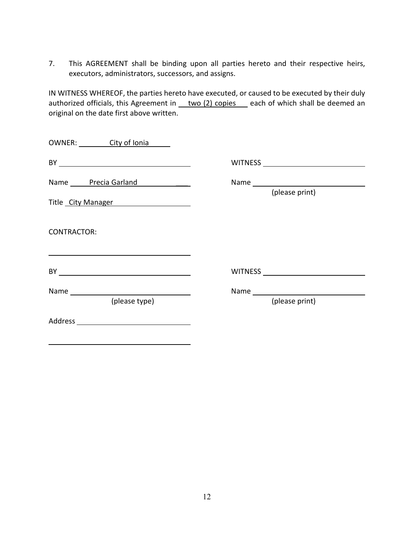7. This AGREEMENT shall be binding upon all parties hereto and their respective heirs, executors, administrators, successors, and assigns.

IN WITNESS WHEREOF, the parties hereto have executed, or caused to be executed by their duly authorized officials, this Agreement in \_two (2) copies \_ each of which shall be deemed an original on the date first above written.

| OWNER: City of Ionia                                       |                |
|------------------------------------------------------------|----------------|
|                                                            |                |
| Name Precia Garland                                        |                |
| Title City Manager                                         | (please print) |
| <b>CONTRACTOR:</b>                                         |                |
| <u> 1980 - Johann John Stein, fransk politik (d. 1980)</u> |                |
| Name<br>(please type)                                      | (please print) |
|                                                            |                |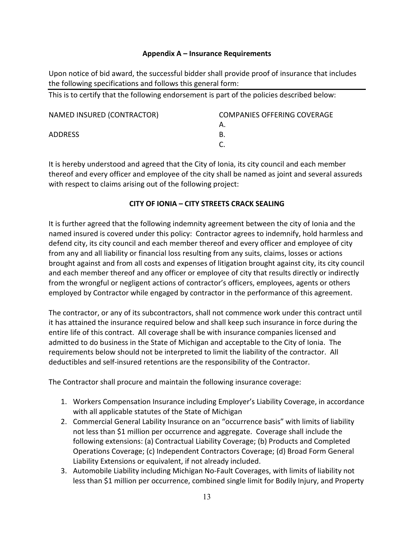#### **Appendix A – Insurance Requirements**

Upon notice of bid award, the successful bidder shall provide proof of insurance that includes the following specifications and follows this general form:

This is to certify that the following endorsement is part of the policies described below:

| NAMED INSURED (CONTRACTOR) | <b>COMPANIES OFFERING COVERAGE</b> |
|----------------------------|------------------------------------|
|                            |                                    |
| <b>ADDRESS</b>             |                                    |
|                            |                                    |

It is hereby understood and agreed that the City of Ionia, its city council and each member thereof and every officer and employee of the city shall be named as joint and several assureds with respect to claims arising out of the following project:

## **CITY OF IONIA – CITY STREETS CRACK SEALING**

It is further agreed that the following indemnity agreement between the city of Ionia and the named insured is covered under this policy: Contractor agrees to indemnify, hold harmless and defend city, its city council and each member thereof and every officer and employee of city from any and all liability or financial loss resulting from any suits, claims, losses or actions brought against and from all costs and expenses of litigation brought against city, its city council and each member thereof and any officer or employee of city that results directly or indirectly from the wrongful or negligent actions of contractor's officers, employees, agents or others employed by Contractor while engaged by contractor in the performance of this agreement.

The contractor, or any of its subcontractors, shall not commence work under this contract until it has attained the insurance required below and shall keep such insurance in force during the entire life of this contract. All coverage shall be with insurance companies licensed and admitted to do business in the State of Michigan and acceptable to the City of Ionia. The requirements below should not be interpreted to limit the liability of the contractor. All deductibles and self-insured retentions are the responsibility of the Contractor.

The Contractor shall procure and maintain the following insurance coverage:

- 1. Workers Compensation Insurance including Employer's Liability Coverage, in accordance with all applicable statutes of the State of Michigan
- 2. Commercial General Lability Insurance on an "occurrence basis" with limits of liability not less than \$1 million per occurrence and aggregate. Coverage shall include the following extensions: (a) Contractual Liability Coverage; (b) Products and Completed Operations Coverage; (c) Independent Contractors Coverage; (d) Broad Form General Liability Extensions or equivalent, if not already included.
- 3. Automobile Liability including Michigan No-Fault Coverages, with limits of liability not less than \$1 million per occurrence, combined single limit for Bodily Injury, and Property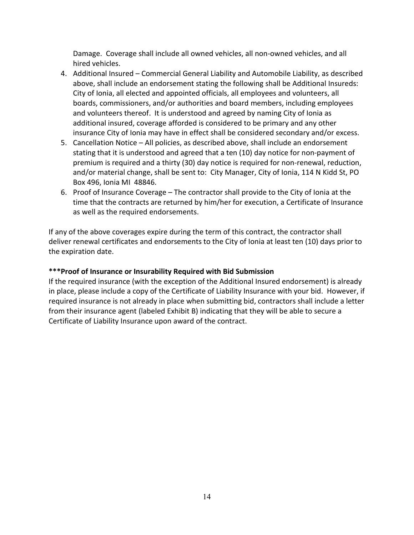Damage. Coverage shall include all owned vehicles, all non-owned vehicles, and all hired vehicles.

- 4. Additional Insured Commercial General Liability and Automobile Liability, as described above, shall include an endorsement stating the following shall be Additional Insureds: City of Ionia, all elected and appointed officials, all employees and volunteers, all boards, commissioners, and/or authorities and board members, including employees and volunteers thereof. It is understood and agreed by naming City of Ionia as additional insured, coverage afforded is considered to be primary and any other insurance City of Ionia may have in effect shall be considered secondary and/or excess.
- 5. Cancellation Notice All policies, as described above, shall include an endorsement stating that it is understood and agreed that a ten (10) day notice for non-payment of premium is required and a thirty (30) day notice is required for non-renewal, reduction, and/or material change, shall be sent to: City Manager, City of Ionia, 114 N Kidd St, PO Box 496, Ionia MI 48846.
- 6. Proof of Insurance Coverage The contractor shall provide to the City of Ionia at the time that the contracts are returned by him/her for execution, a Certificate of Insurance as well as the required endorsements.

If any of the above coverages expire during the term of this contract, the contractor shall deliver renewal certificates and endorsements to the City of Ionia at least ten (10) days prior to the expiration date.

## **\*\*\*Proof of Insurance or Insurability Required with Bid Submission**

If the required insurance (with the exception of the Additional Insured endorsement) is already in place, please include a copy of the Certificate of Liability Insurance with your bid. However, if required insurance is not already in place when submitting bid, contractors shall include a letter from their insurance agent (labeled Exhibit B) indicating that they will be able to secure a Certificate of Liability Insurance upon award of the contract.